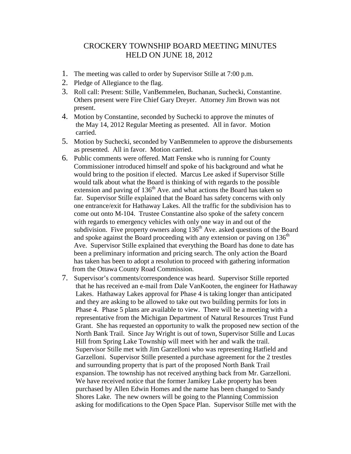## CROCKERY TOWNSHIP BOARD MEETING MINUTES HELD ON JUNE 18, 2012

- 1. The meeting was called to order by Supervisor Stille at 7:00 p.m.
- 2. Pledge of Allegiance to the flag.
- 3. Roll call: Present: Stille, VanBemmelen, Buchanan, Suchecki, Constantine. Others present were Fire Chief Gary Dreyer. Attorney Jim Brown was not present.
- 4. Motion by Constantine, seconded by Suchecki to approve the minutes of the May 14, 2012 Regular Meeting as presented. All in favor. Motion carried.
- 5. Motion by Suchecki, seconded by VanBemmelen to approve the disbursements as presented. All in favor. Motion carried.
- 6. Public comments were offered. Matt Fenske who is running for County Commissioner introduced himself and spoke of his background and what he would bring to the position if elected. Marcus Lee asked if Supervisor Stille would talk about what the Board is thinking of with regards to the possible extension and paving of  $136<sup>th</sup>$  Ave. and what actions the Board has taken so far. Supervisor Stille explained that the Board has safety concerns with only one entrance/exit for Hathaway Lakes. All the traffic for the subdivision has to come out onto M-104. Trustee Constantine also spoke of the safety concern with regards to emergency vehicles with only one way in and out of the subdivision. Five property owners along  $136<sup>th</sup>$  Ave. asked questions of the Board and spoke against the Board proceeding with any extension or paving on  $136<sup>th</sup>$ Ave. Supervisor Stille explained that everything the Board has done to date has been a preliminary information and pricing search. The only action the Board has taken has been to adopt a resolution to proceed with gathering information from the Ottawa County Road Commission.
- 7. Supervisor's comments/correspondence was heard. Supervisor Stille reported that he has received an e-mail from Dale VanKooten, the engineer for Hathaway Lakes. Hathaway Lakes approval for Phase 4 is taking longer than anticipated and they are asking to be allowed to take out two building permits for lots in Phase 4. Phase 5 plans are available to view. There will be a meeting with a representative from the Michigan Department of Natural Resources Trust Fund Grant. She has requested an opportunity to walk the proposed new section of the North Bank Trail. Since Jay Wright is out of town, Supervisor Stille and Lucas Hill from Spring Lake Township will meet with her and walk the trail. Supervisor Stille met with Jim Garzelloni who was representing Hatfield and Garzelloni. Supervisor Stille presented a purchase agreement for the 2 trestles and surrounding property that is part of the proposed North Bank Trail expansion. The township has not received anything back from Mr. Garzelloni. We have received notice that the former Jamikey Lake property has been purchased by Allen Edwin Homes and the name has been changed to Sandy Shores Lake. The new owners will be going to the Planning Commission asking for modifications to the Open Space Plan. Supervisor Stille met with the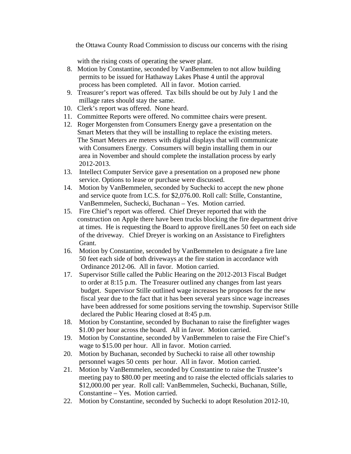the Ottawa County Road Commission to discuss our concerns with the rising

with the rising costs of operating the sewer plant.

- 8. Motion by Constantine, seconded by VanBemmelen to not allow building permits to be issued for Hathaway Lakes Phase 4 until the approval process has been completed. All in favor. Motion carried.
- 9. Treasurer's report was offered. Tax bills should be out by July 1 and the millage rates should stay the same.
- 10. Clerk's report was offered. None heard.
- 11. Committee Reports were offered. No committee chairs were present.
- 12. Roger Morgensten from Consumers Energy gave a presentation on the Smart Meters that they will be installing to replace the existing meters. The Smart Meters are meters with digital displays that will communicate with Consumers Energy. Consumers will begin installing them in our area in November and should complete the installation process by early 2012-2013.
- 13. Intellect Computer Service gave a presentation on a proposed new phone service. Options to lease or purchase were discussed.
- 14. Motion by VanBemmelen, seconded by Suchecki to accept the new phone and service quote from I.C.S. for \$2,076.00. Roll call: Stille, Constantine, VanBemmelen, Suchecki, Buchanan – Yes. Motion carried.
- 15. Fire Chief's report was offered. Chief Dreyer reported that with the construction on Apple there have been trucks blocking the fire department drive at times. He is requesting the Board to approve firelLanes 50 feet on each side of the driveway. Chief Dreyer is working on an Assistance to Firefighters Grant.
- 16. Motion by Constantine, seconded by VanBemmelen to designate a fire lane 50 feet each side of both driveways at the fire station in accordance with Ordinance 2012-06. All in favor. Motion carried.
- 17. Supervisor Stille called the Public Hearing on the 2012-2013 Fiscal Budget to order at 8:15 p.m. The Treasurer outlined any changes from last years budget. Supervisor Stille outlined wage increases he proposes for the new fiscal year due to the fact that it has been several years since wage increases have been addressed for some positions serving the township. Supervisor Stille declared the Public Hearing closed at 8:45 p.m.
- 18. Motion by Constantine, seconded by Buchanan to raise the firefighter wages \$1.00 per hour across the board. All in favor. Motion carried.
- 19. Motion by Constantine, seconded by VanBemmelen to raise the Fire Chief's wage to \$15.00 per hour. All in favor. Motion carried.
- 20. Motion by Buchanan, seconded by Suchecki to raise all other township personnel wages 50 cents per hour. All in favor. Motion carried.
- 21. Motion by VanBemmelen, seconded by Constantine to raise the Trustee's meeting pay to \$80.00 per meeting and to raise the elected officials salaries to \$12,000.00 per year. Roll call: VanBemmelen, Suchecki, Buchanan, Stille, Constantine – Yes. Motion carried.
- 22. Motion by Constantine, seconded by Suchecki to adopt Resolution 2012-10,